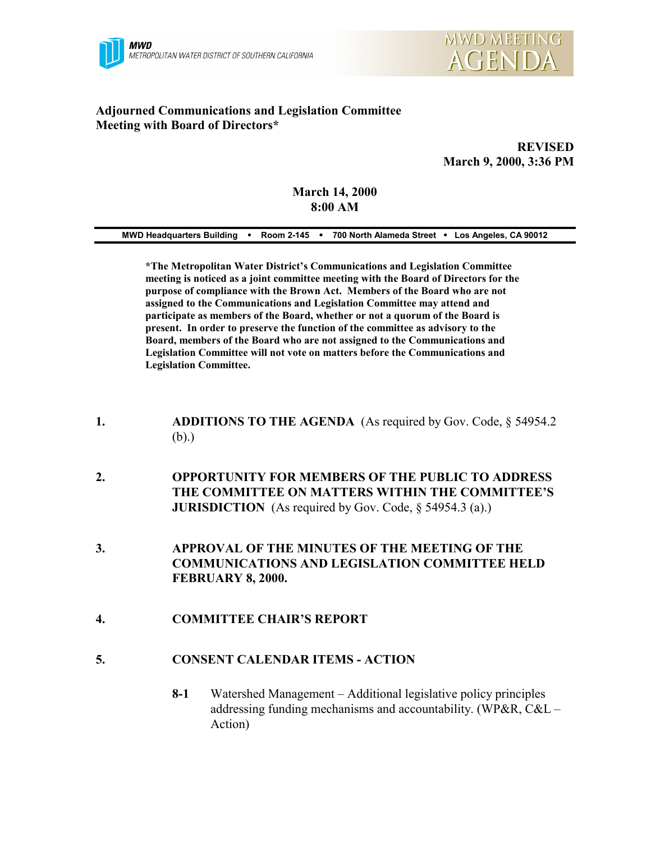



## **Adjourned Communications and Legislation Committee Meeting with Board of Directors\***

**REVISED March 9, 2000, 3:36 PM**

#### **March 14, 2000 8:00 AM**

| 700 North Alameda Street • Los Angeles, CA 90012<br><b>MWD Headquarters Building</b><br>Room 2-145 |  |
|----------------------------------------------------------------------------------------------------|--|
|----------------------------------------------------------------------------------------------------|--|

**\*The Metropolitan Water District's Communications and Legislation Committee meeting is noticed as a joint committee meeting with the Board of Directors for the purpose of compliance with the Brown Act. Members of the Board who are not assigned to the Communications and Legislation Committee may attend and participate as members of the Board, whether or not a quorum of the Board is present. In order to preserve the function of the committee as advisory to the Board, members of the Board who are not assigned to the Communications and Legislation Committee will not vote on matters before the Communications and Legislation Committee.**

- **1. ADDITIONS TO THE AGENDA** (As required by Gov. Code, § 54954.2 (b).)
- **2. OPPORTUNITY FOR MEMBERS OF THE PUBLIC TO ADDRESS THE COMMITTEE ON MATTERS WITHIN THE COMMITTEE'S JURISDICTION** (As required by Gov. Code, § 54954.3 (a).)
- **3. APPROVAL OF THE MINUTES OF THE MEETING OF THE COMMUNICATIONS AND LEGISLATION COMMITTEE HELD FEBRUARY 8, 2000.**
- **4. COMMITTEE CHAIR'S REPORT**
- **5. CONSENT CALENDAR ITEMS ACTION**
	- **8-1** Watershed Management Additional legislative policy principles addressing funding mechanisms and accountability. (WP&R, C&L – Action)